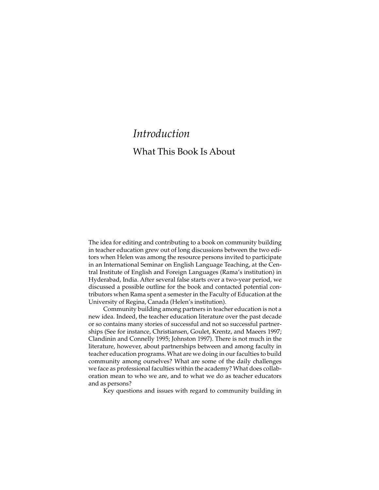## *Introduction* What This Book Is About

The idea for editing and contributing to a book on community building in teacher education grew out of long discussions between the two editors when Helen was among the resource persons invited to participate in an International Seminar on English Language Teaching, at the Central Institute of English and Foreign Languages (Rama's institution) in Hyderabad, India. After several false starts over a two-year period, we discussed a possible outline for the book and contacted potential contributors when Rama spent a semester in the Faculty of Education at the University of Regina, Canada (Helen's institution).

Community building among partners in teacher education is not a new idea. Indeed, the teacher education literature over the past decade or so contains many stories of successful and not so successful partnerships (See for instance, Christiansen, Goulet, Krentz, and Maeers 1997; Clandinin and Connelly 1995; Johnston 1997). There is not much in the literature, however, about partnerships between and among faculty in teacher education programs. What are we doing in our faculties to build community among ourselves? What are some of the daily challenges we face as professional faculties within the academy? What does collaboration mean to who we are, and to what we do as teacher educators and as persons?

Key questions and issues with regard to community building in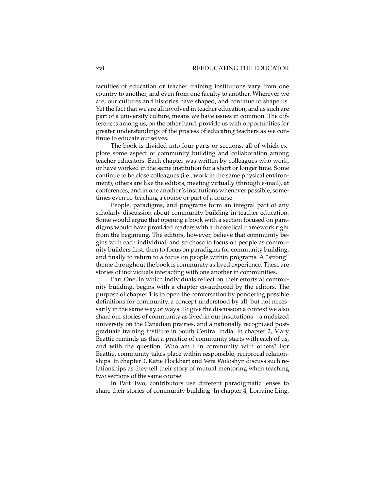faculties of education or teacher training institutions vary from one country to another, and even from one faculty to another. Wherever we are, our cultures and histories have shaped, and continue to shape us. Yet the fact that we are all involved in teacher education, and as such are part of a university culture, means we have issues in common. The differences among us, on the other hand, provide us with opportunities for greater understandings of the process of educating teachers as we continue to educate ourselves.

The book is divided into four parts or sections, all of which explore some aspect of community building and collaboration among teacher educators. Each chapter was written by colleagues who work, or have worked in the same institution for a short or longer time. Some continue to be close colleagues (i.e., work in the same physical environment), others are like the editors, meeting virtually (through e-mail), at conferences, and in one another's institutions whenever possible, sometimes even co-teaching a course or part of a course.

People, paradigms, and programs form an integral part of any scholarly discussion about community building in teacher education. Some would argue that opening a book with a section focused on paradigms would have provided readers with a theoretical framework right from the beginning. The editors, however, believe that community begins with each individual, and so chose to focus on people as community builders first, then to focus on paradigms for community building, and finally to return to a focus on people within programs. A "strong" theme throughout the book is community as lived experience. These are stories of individuals interacting with one another in communities.

Part One, in which individuals reflect on their efforts at community building, begins with a chapter co-authored by the editors. The purpose of chapter 1 is to open the conversation by pondering possible definitions for community, a concept understood by all, but not necessarily in the same way or ways. To give the discussion a context we also share our stories of community as lived in our institutions—a midsized university on the Canadian prairies, and a nationally recognized postgraduate training institute in South Central India. In chapter 2, Mary Beattie reminds us that a practice of community starts with each of us, and with the question: Who am I in community with others? For Beattie, community takes place within responsible, reciprocal relationships. In chapter 3, Katie Flockhart and Vera Woloshyn discuss such relationships as they tell their story of mutual mentoring when teaching two sections of the same course.

In Part Two, contributors use different paradigmatic lenses to share their stories of community building. In chapter 4, Lorraine Ling,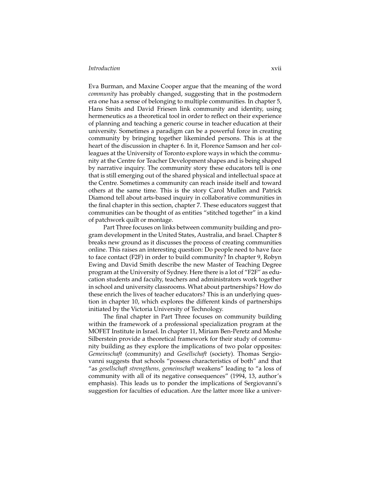Eva Burman, and Maxine Cooper argue that the meaning of the word *community* has probably changed, suggesting that in the postmodern era one has a sense of belonging to multiple communities. In chapter 5, Hans Smits and David Friesen link community and identity, using hermeneutics as a theoretical tool in order to reflect on their experience of planning and teaching a generic course in teacher education at their university. Sometimes a paradigm can be a powerful force in creating community by bringing together likeminded persons. This is at the heart of the discussion in chapter 6. In it, Florence Samson and her colleagues at the University of Toronto explore ways in which the community at the Centre for Teacher Development shapes and is being shaped by narrative inquiry. The community story these educators tell is one that is still emerging out of the shared physical and intellectual space at the Centre. Sometimes a community can reach inside itself and toward others at the same time. This is the story Carol Mullen and Patrick Diamond tell about arts-based inquiry in collaborative communities in the final chapter in this section, chapter 7. These educators suggest that communities can be thought of as entities "stitched together" in a kind of patchwork quilt or montage.

Part Three focuses on links between community building and program development in the United States, Australia, and Israel. Chapter 8 breaks new ground as it discusses the process of creating communities online. This raises an interesting question: Do people need to have face to face contact (F2F) in order to build community? In chapter 9, Robyn Ewing and David Smith describe the new Master of Teaching Degree program at the University of Sydney. Here there is a lot of "F2F" as education students and faculty, teachers and administrators work together in school and university classrooms. What about partnerships? How do these enrich the lives of teacher educators? This is an underlying question in chapter 10, which explores the different kinds of partnerships initiated by the Victoria University of Technology.

The final chapter in Part Three focuses on community building within the framework of a professional specialization program at the MOFET Institute in Israel. In chapter 11, Miriam Ben-Peretz and Moshe Silberstein provide a theoretical framework for their study of community building as they explore the implications of two polar opposites: *Gemeinschaft* (community) and *Gesellschaft* (society). Thomas Sergiovanni suggests that schools "possess characteristics of both" and that "as *gesellschaft strengthens, gemeinschaft* weakens" leading to "a loss of community with all of its negative consequences" (1994, 13, author's emphasis). This leads us to ponder the implications of Sergiovanni's suggestion for faculties of education. Are the latter more like a univer